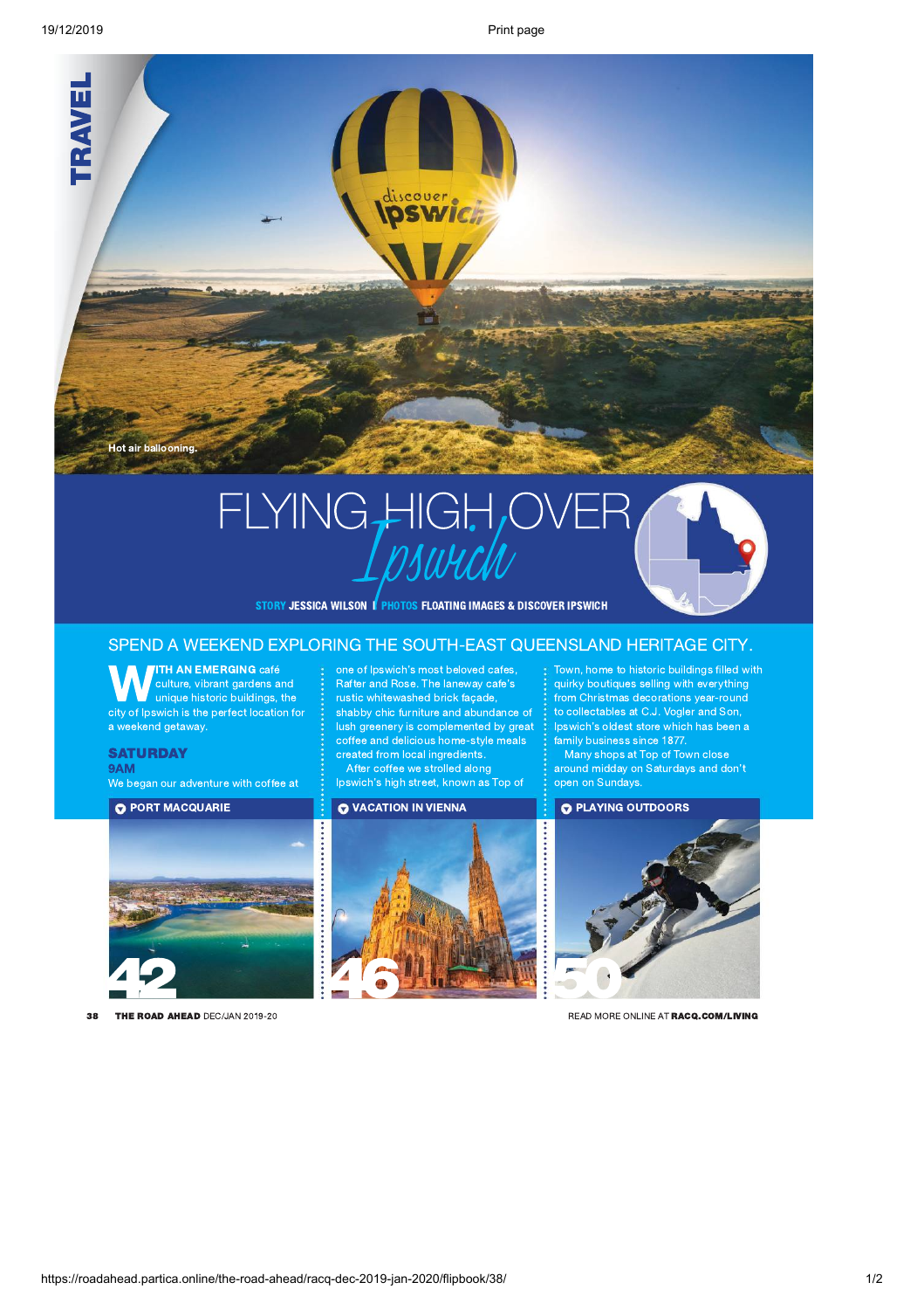

# FLYING HIGH OVER

STORY JESSICA WILSON | PHOTOS FLOATING IMAGES & DISCOVER IPSWICH

## SPEND A WEEKEND EXPLORING THE SOUTH-EAST QUEENSLAND HERITAGE CITY.

WEITH AN EMERGING café : one of Ipswich culture, vibrant gardens and : Rafter and Reprinted to the principle is the perfect location for the phibbid chief chief continuous contract location for the phibbid chief chief chie culture, vibrant gardens and **contact of the state field** culture, vibrant gardens and unique historic buildings, the stature rustic whitewashed brick city of Ipswich is the perfect location for **containably** chic furniture an a weekend getaway.

We began our adventure with coffee at



38 THE ROAD AHEAD DEC/JAN 2019-20 **READ MORE ONLINE AT RACQ.COM/LIVING** 

**ITH AN EMERGING** café **can be of Ipswich's most beloved cafes, Communisty Communisty Communisty** Communisty Communisty Communisty Communisty Communisty Communisty Communisty Communisty Communisty Communisty Communisty C **SATURDAY SATURISM CONSTRUCTER CONSTRUCTS CONSTRUCTS**  $\mathsf{9AM}$  . The contract of  $\mathsf{1}$  and  $\mathsf{1}$  around  $\mathsf{1}$  around  $\mathsf{1}$  around midday of Rafter and Rose. The laneway cafe's rustic whitewashed brick façade, shabby chic furniture and abundance of Framery is complemented by great<br>lush greenery is complemented by great<br>coffee and delicious home-style meals

Ipswich's high street, known as Top of Copen on Sundays.

## **O** VACATION IN VIENNA **460 MARSHAM**

Town, home to historic buildings filled with quirky boutiques selling with everything from Christmas decorations year-round to collectables at C.J. Vogler and Son, Ipswich's oldest store which has been a family business since 1877.

Many shops at Top of Town close around midday on Saturdays and don't<br>open on Sundays.

### **O** PLAYING OUTDOORS